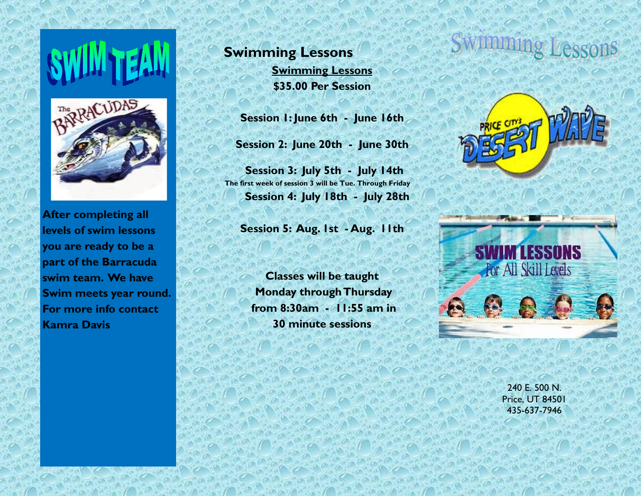

**After completing all levels of swim lessons you are ready to be a part of the Barracuda swim team. We have Swim meets year round. For more info contact Kamra Davis** 

**Swimming Lessons Swimming Lessons \$35.00 Per Session**

**Session 1: June 6th - June 16th**

**Session 2: June 20th - June 30th**

 **Session 3: July 5th - July 14th The first week of session 3 will be Tue. Through Friday Session 4: July 18th - July 28th**

**Session 5: Aug. 1st - Aug. 11th** 

**Classes will be taught Monday through Thursday from 8:30am - 11:55 am in 30 minute sessions**





240 E. 500 N. Price, UT 84501 435-637-7946